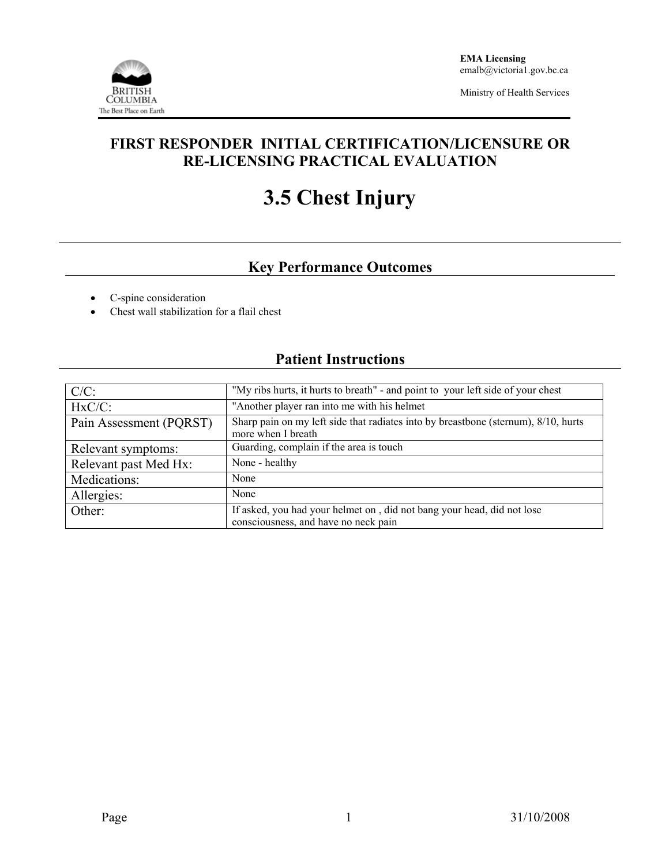

Ministry of Health Services

## **FIRST RESPONDER INITIAL CERTIFICATION/LICENSURE OR RE-LICENSING PRACTICAL EVALUATION**

# **3.5 Chest Injury**

## **Key Performance Outcomes**

- C-spine consideration
- Chest wall stabilization for a flail chest

### **Patient Instructions**

| $C/C$ :                 | "My ribs hurts, it hurts to breath" - and point to your left side of your chest                                |  |  |  |
|-------------------------|----------------------------------------------------------------------------------------------------------------|--|--|--|
| $HxC/C$ :               | "Another player ran into me with his helmet                                                                    |  |  |  |
| Pain Assessment (PQRST) | Sharp pain on my left side that radiates into by breastbone (sternum), 8/10, hurts<br>more when I breath       |  |  |  |
| Relevant symptoms:      | Guarding, complain if the area is touch                                                                        |  |  |  |
| Relevant past Med Hx:   | None - healthy                                                                                                 |  |  |  |
| Medications:            | None                                                                                                           |  |  |  |
| Allergies:              | None                                                                                                           |  |  |  |
| Other:                  | If asked, you had your helmet on, did not bang your head, did not lose<br>consciousness, and have no neck pain |  |  |  |